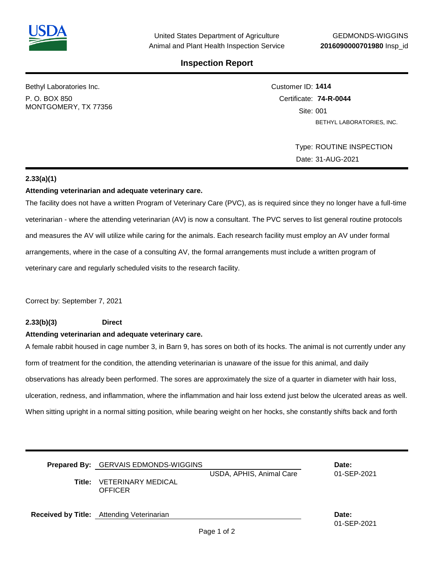## **Inspection Report**

Bethyl Laboratories Inc.

P. O. BOX 850 MONTGOMERY, TX 77356 Customer ID: **1414** Certificate: **74-R-0044**  Site: 001 BETHYL LABORATORIES, INC.

> Type: ROUTINE INSPECTION Date: 31-AUG-2021

### **2.33(a)(1)**

#### **Attending veterinarian and adequate veterinary care.**

The facility does not have a written Program of Veterinary Care (PVC), as is required since they no longer have a full-time veterinarian - where the attending veterinarian (AV) is now a consultant. The PVC serves to list general routine protocols and measures the AV will utilize while caring for the animals. Each research facility must employ an AV under formal arrangements, where in the case of a consulting AV, the formal arrangements must include a written program of veterinary care and regularly scheduled visits to the research facility.

Correct by: September 7, 2021

### **2.33(b)(3) Direct**

#### **Attending veterinarian and adequate veterinary care.**

A female rabbit housed in cage number 3, in Barn 9, has sores on both of its hocks. The animal is not currently under any form of treatment for the condition, the attending veterinarian is unaware of the issue for this animal, and daily observations has already been performed. The sores are approximately the size of a quarter in diameter with hair loss, ulceration, redness, and inflammation, where the inflammation and hair loss extend just below the ulcerated areas as well. When sitting upright in a normal sitting position, while bearing weight on her hocks, she constantly shifts back and forth

| <b>Prepared By:</b> GERVAIS EDMONDS-WIGGINS        |                          | Date:       |
|----------------------------------------------------|--------------------------|-------------|
|                                                    | USDA, APHIS, Animal Care | 01-SEP-2021 |
| <b>Title: VETERINARY MEDICAL</b><br><b>OFFICER</b> |                          |             |

**Received by Title:** Attending Veterinarian **Date: Date: Date: Date:** 

01-SEP-2021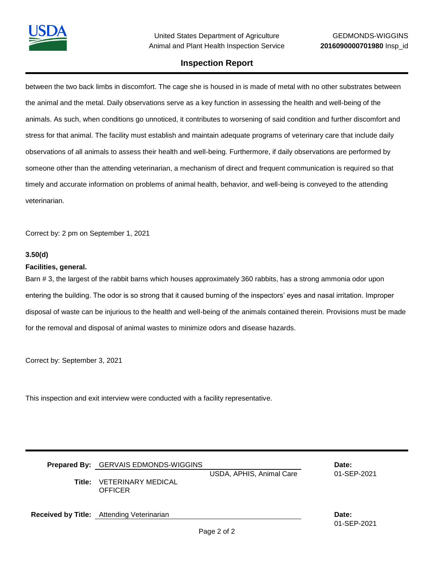## **Inspection Report**

between the two back limbs in discomfort. The cage she is housed in is made of metal with no other substrates between the animal and the metal. Daily observations serve as a key function in assessing the health and well-being of the animals. As such, when conditions go unnoticed, it contributes to worsening of said condition and further discomfort and stress for that animal. The facility must establish and maintain adequate programs of veterinary care that include daily observations of all animals to assess their health and well-being. Furthermore, if daily observations are performed by someone other than the attending veterinarian, a mechanism of direct and frequent communication is required so that timely and accurate information on problems of animal health, behavior, and well-being is conveyed to the attending veterinarian.

Correct by: 2 pm on September 1, 2021

#### **3.50(d)**

#### **Facilities, general.**

Barn # 3, the largest of the rabbit barns which houses approximately 360 rabbits, has a strong ammonia odor upon entering the building. The odor is so strong that it caused burning of the inspectors' eyes and nasal irritation. Improper disposal of waste can be injurious to the health and well-being of the animals contained therein. Provisions must be made for the removal and disposal of animal wastes to minimize odors and disease hazards.

Correct by: September 3, 2021

This inspection and exit interview were conducted with a facility representative.

| Prepared By: GERVAIS EDMONDS-WIGGINS<br>Title: VETERINARY MEDICAL<br><b>OFFICER</b> | USDA, APHIS, Animal Care | Date:<br>01-SEP-2021 |
|-------------------------------------------------------------------------------------|--------------------------|----------------------|
| <b>Received by Title:</b> Attending Veterinarian                                    |                          | Date:                |

01-SEP-2021